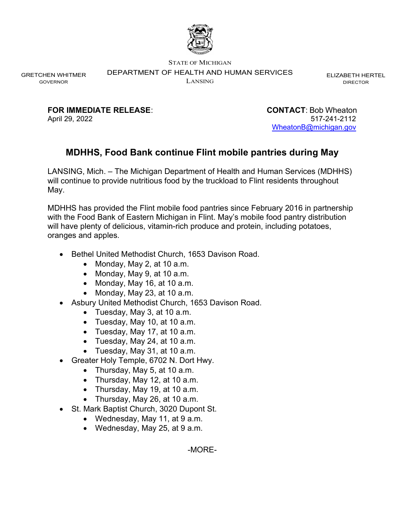

STATE OF MICHIGAN

DEPARTMENT OF HEALTH AND HUMAN SERVICES

LANSING

ELIZABETH HERTEL DIRECTOR

GRETCHEN WHITMER GOVERNOR

FOR IMMEDIATE RELEASE: CONTACT: Bob Wheaton

April 29, 2022 517-241-2112 WheatonB@michigan.gov

## MDHHS, Food Bank continue Flint mobile pantries during May

LANSING, Mich. – The Michigan Department of Health and Human Services (MDHHS) will continue to provide nutritious food by the truckload to Flint residents throughout May.

MDHHS has provided the Flint mobile food pantries since February 2016 in partnership with the Food Bank of Eastern Michigan in Flint. May's mobile food pantry distribution will have plenty of delicious, vitamin-rich produce and protein, including potatoes, oranges and apples.

- Bethel United Methodist Church, 1653 Davison Road.
	- Monday, May 2, at 10 a.m.
	- Monday, May 9, at 10 a.m.
	- Monday, May 16, at 10 a.m.
	- $\bullet$  Monday, May 23, at 10 a.m.
- Asbury United Methodist Church, 1653 Davison Road.
	- Tuesday, May 3, at 10 a.m.
	- Tuesday, May 10, at 10 a.m.
	- Tuesday, May 17, at 10 a.m.
	- Tuesday, May 24, at 10 a.m.
	- Tuesday, May 31, at 10 a.m.
- Greater Holy Temple, 6702 N. Dort Hwy.
	- Thursday, May 5, at 10 a.m.
	- Thursday, May 12, at 10 a.m.
	- Thursday, May 19, at 10 a.m.
	- Thursday, May 26, at 10 a.m.
- St. Mark Baptist Church, 3020 Dupont St.
	- Wednesday, May 11, at 9 a.m.
	- Wednesday, May 25, at 9 a.m.

-MORE-